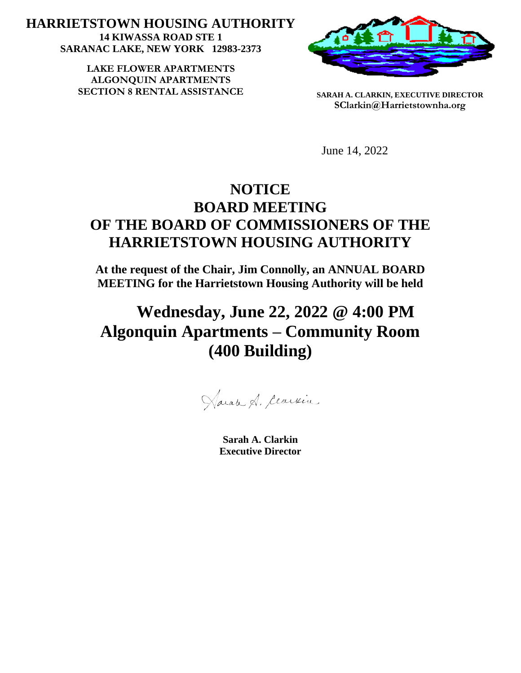**HARRIETSTOWN HOUSING AUTHORITY 14 KIWASSA ROAD STE 1 SARANAC LAKE, NEW YORK 12983-2373**

> LAKE FLOWER APARTMENTS **ALGONQUIN APARTMENTS SECTION 8 RENTAL ASSISTANCE SARAH A. CLARKIN, EXECUTIVE DIRECTOR**



**SClarkin@Harrietstownha.org**

June 14, 2022

## **NOTICE BOARD MEETING OF THE BOARD OF COMMISSIONERS OF THE HARRIETSTOWN HOUSING AUTHORITY**

**At the request of the Chair, Jim Connolly, an ANNUAL BOARD MEETING for the Harrietstown Housing Authority will be held** 

# **Wednesday, June 22, 2022 @ 4:00 PM Algonquin Apartments – Community Room (400 Building)**

Haran A. Cearvin

**Sarah A. Clarkin Executive Director**